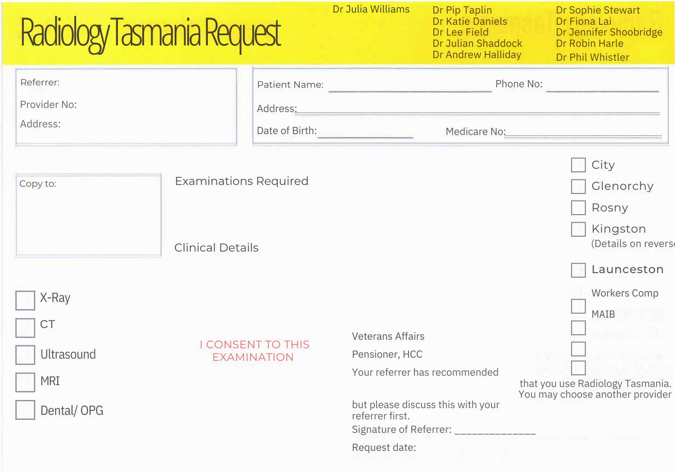| Radiology Tasmania Request            |                              | Dr Julia Williams<br>Dr Pip Taplin<br><b>Dr Katie Daniels</b><br><b>Dr Lee Field</b><br>Dr Julian Shaddock<br>Dr Andrew Halliday | <b>Dr Sophie Stewart</b><br>Dr Fiona Lai<br>Dr Jennifer Shoobridge<br>Dr Robin Harle<br>Dr Phil Whistler |
|---------------------------------------|------------------------------|----------------------------------------------------------------------------------------------------------------------------------|----------------------------------------------------------------------------------------------------------|
| Referrer:<br>Provider No:<br>Address: | Patient Name:<br>Address:    |                                                                                                                                  | Phone No:                                                                                                |
|                                       | Date of Birth:               | Medicare No:                                                                                                                     |                                                                                                          |
| Copy to:                              | <b>Examinations Required</b> |                                                                                                                                  | City<br>Glenorchy<br>Rosny                                                                               |
|                                       | <b>Clinical Details</b>      |                                                                                                                                  | Kingston<br>(Details on revers<br>Launceston                                                             |
| X-Ray                                 |                              |                                                                                                                                  | <b>Workers Comp</b><br>MAIB                                                                              |
| <b>CT</b>                             | <b>I CONSENT TO THIS</b>     | <b>Veterans Affairs</b>                                                                                                          |                                                                                                          |
| <b>Ultrasound</b>                     | <b>EXAMINATION</b>           | Pensioner, HCC                                                                                                                   |                                                                                                          |
| <b>MRI</b>                            |                              | Your referrer has recommended                                                                                                    | that you use Radiology Tasmania.<br>You may choose another provider                                      |
| Dental/OPG                            |                              | but please discuss this with your<br>referrer first.<br>Signature of Referrer: ______________                                    |                                                                                                          |
|                                       |                              | Request date:                                                                                                                    |                                                                                                          |